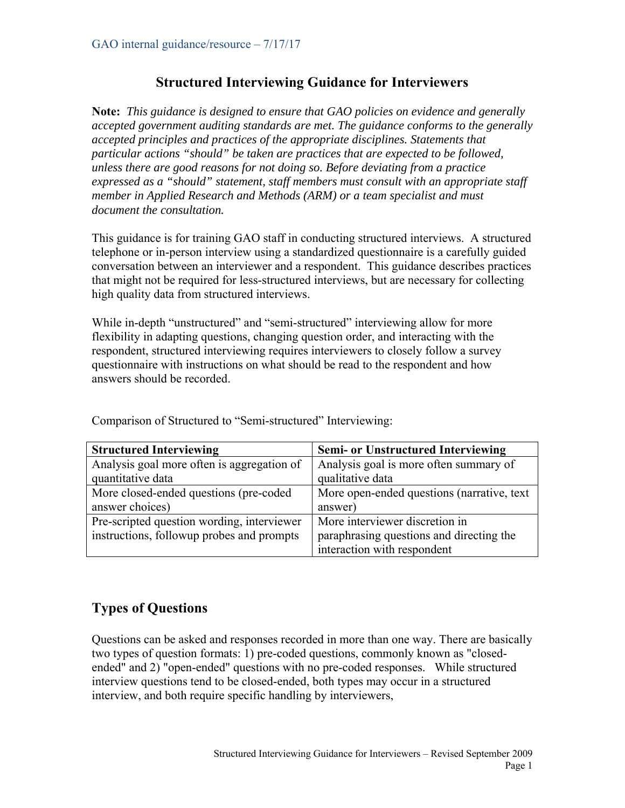## **Structured Interviewing Guidance for Interviewers**

**Note:** *This guidance is designed to ensure that GAO policies on evidence and generally accepted government auditing standards are met. The guidance conforms to the generally accepted principles and practices of the appropriate disciplines. Statements that particular actions "should" be taken are practices that are expected to be followed, unless there are good reasons for not doing so. Before deviating from a practice expressed as a "should" statement, staff members must consult with an appropriate staff member in Applied Research and Methods (ARM) or a team specialist and must document the consultation.*

This guidance is for training GAO staff in conducting structured interviews. A structured telephone or in-person interview using a standardized questionnaire is a carefully guided conversation between an interviewer and a respondent. This guidance describes practices that might not be required for less-structured interviews, but are necessary for collecting high quality data from structured interviews.

While in-depth "unstructured" and "semi-structured" interviewing allow for more flexibility in adapting questions, changing question order, and interacting with the respondent, structured interviewing requires interviewers to closely follow a survey questionnaire with instructions on what should be read to the respondent and how answers should be recorded.

| <b>Structured Interviewing</b>             | <b>Semi- or Unstructured Interviewing</b>   |
|--------------------------------------------|---------------------------------------------|
| Analysis goal more often is aggregation of | Analysis goal is more often summary of      |
| quantitative data                          | qualitative data                            |
| More closed-ended questions (pre-coded     | More open-ended questions (narrative, text) |
| answer choices)                            | answer)                                     |
| Pre-scripted question wording, interviewer | More interviewer discretion in              |
| instructions, followup probes and prompts  | paraphrasing questions and directing the    |
|                                            | interaction with respondent                 |

Comparison of Structured to "Semi-structured" Interviewing:

# **Types of Questions**

Questions can be asked and responses recorded in more than one way. There are basically two types of question formats: 1) pre-coded questions, commonly known as "closedended" and 2) "open-ended" questions with no pre-coded responses. While structured interview questions tend to be closed-ended, both types may occur in a structured interview, and both require specific handling by interviewers,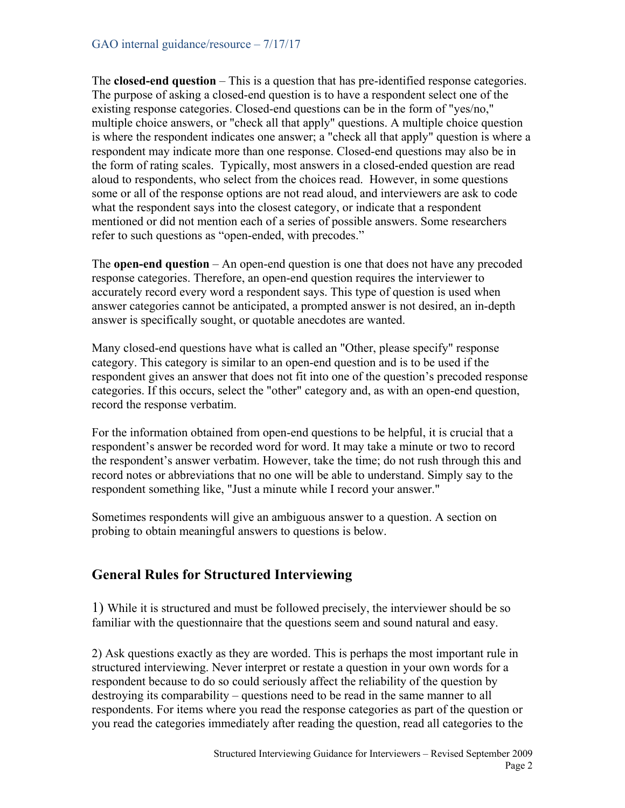### GAO internal guidance/resource – 7/17/17

The **closed-end question** – This is a question that has pre-identified response categories. The purpose of asking a closed-end question is to have a respondent select one of the existing response categories. Closed-end questions can be in the form of "yes/no," multiple choice answers, or "check all that apply" questions. A multiple choice question is where the respondent indicates one answer; a "check all that apply" question is where a respondent may indicate more than one response. Closed-end questions may also be in the form of rating scales. Typically, most answers in a closed-ended question are read aloud to respondents, who select from the choices read. However, in some questions some or all of the response options are not read aloud, and interviewers are ask to code what the respondent says into the closest category, or indicate that a respondent mentioned or did not mention each of a series of possible answers. Some researchers refer to such questions as "open-ended, with precodes."

The **open-end question** – An open-end question is one that does not have any precoded response categories. Therefore, an open-end question requires the interviewer to accurately record every word a respondent says. This type of question is used when answer categories cannot be anticipated, a prompted answer is not desired, an in-depth answer is specifically sought, or quotable anecdotes are wanted.

Many closed-end questions have what is called an "Other, please specify" response category. This category is similar to an open-end question and is to be used if the respondent gives an answer that does not fit into one of the question's precoded response categories. If this occurs, select the "other" category and, as with an open-end question, record the response verbatim.

For the information obtained from open-end questions to be helpful, it is crucial that a respondent's answer be recorded word for word. It may take a minute or two to record the respondent's answer verbatim. However, take the time; do not rush through this and record notes or abbreviations that no one will be able to understand. Simply say to the respondent something like, "Just a minute while I record your answer."

Sometimes respondents will give an ambiguous answer to a question. A section on probing to obtain meaningful answers to questions is below.

## **General Rules for Structured Interviewing**

1) While it is structured and must be followed precisely, the interviewer should be so familiar with the questionnaire that the questions seem and sound natural and easy.

2) Ask questions exactly as they are worded. This is perhaps the most important rule in structured interviewing. Never interpret or restate a question in your own words for a respondent because to do so could seriously affect the reliability of the question by destroying its comparability – questions need to be read in the same manner to all respondents. For items where you read the response categories as part of the question or you read the categories immediately after reading the question, read all categories to the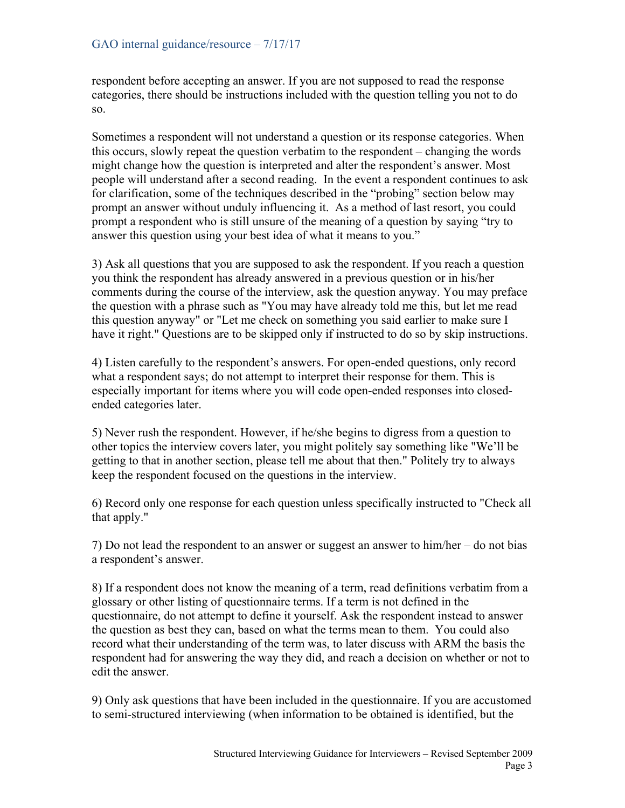respondent before accepting an answer. If you are not supposed to read the response categories, there should be instructions included with the question telling you not to do so.

Sometimes a respondent will not understand a question or its response categories. When this occurs, slowly repeat the question verbatim to the respondent – changing the words might change how the question is interpreted and alter the respondent's answer. Most people will understand after a second reading. In the event a respondent continues to ask for clarification, some of the techniques described in the "probing" section below may prompt an answer without unduly influencing it. As a method of last resort, you could prompt a respondent who is still unsure of the meaning of a question by saying "try to answer this question using your best idea of what it means to you."

3) Ask all questions that you are supposed to ask the respondent. If you reach a question you think the respondent has already answered in a previous question or in his/her comments during the course of the interview, ask the question anyway. You may preface the question with a phrase such as "You may have already told me this, but let me read this question anyway" or "Let me check on something you said earlier to make sure I have it right." Questions are to be skipped only if instructed to do so by skip instructions.

4) Listen carefully to the respondent's answers. For open-ended questions, only record what a respondent says; do not attempt to interpret their response for them. This is especially important for items where you will code open-ended responses into closedended categories later.

5) Never rush the respondent. However, if he/she begins to digress from a question to other topics the interview covers later, you might politely say something like "We'll be getting to that in another section, please tell me about that then." Politely try to always keep the respondent focused on the questions in the interview.

6) Record only one response for each question unless specifically instructed to "Check all that apply."

7) Do not lead the respondent to an answer or suggest an answer to him/her – do not bias a respondent's answer.

8) If a respondent does not know the meaning of a term, read definitions verbatim from a glossary or other listing of questionnaire terms. If a term is not defined in the questionnaire, do not attempt to define it yourself. Ask the respondent instead to answer the question as best they can, based on what the terms mean to them. You could also record what their understanding of the term was, to later discuss with ARM the basis the respondent had for answering the way they did, and reach a decision on whether or not to edit the answer.

9) Only ask questions that have been included in the questionnaire. If you are accustomed to semi-structured interviewing (when information to be obtained is identified, but the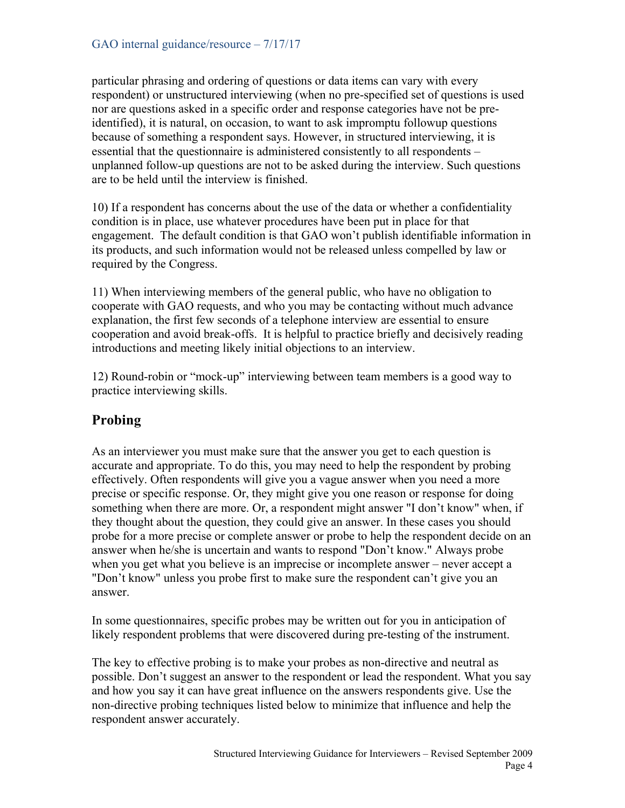particular phrasing and ordering of questions or data items can vary with every respondent) or unstructured interviewing (when no pre-specified set of questions is used nor are questions asked in a specific order and response categories have not be preidentified), it is natural, on occasion, to want to ask impromptu followup questions because of something a respondent says. However, in structured interviewing, it is essential that the questionnaire is administered consistently to all respondents – unplanned follow-up questions are not to be asked during the interview. Such questions are to be held until the interview is finished.

10) If a respondent has concerns about the use of the data or whether a confidentiality condition is in place, use whatever procedures have been put in place for that engagement. The default condition is that GAO won't publish identifiable information in its products, and such information would not be released unless compelled by law or required by the Congress.

11) When interviewing members of the general public, who have no obligation to cooperate with GAO requests, and who you may be contacting without much advance explanation, the first few seconds of a telephone interview are essential to ensure cooperation and avoid break-offs. It is helpful to practice briefly and decisively reading introductions and meeting likely initial objections to an interview.

12) Round-robin or "mock-up" interviewing between team members is a good way to practice interviewing skills.

# **Probing**

As an interviewer you must make sure that the answer you get to each question is accurate and appropriate. To do this, you may need to help the respondent by probing effectively. Often respondents will give you a vague answer when you need a more precise or specific response. Or, they might give you one reason or response for doing something when there are more. Or, a respondent might answer "I don't know" when, if they thought about the question, they could give an answer. In these cases you should probe for a more precise or complete answer or probe to help the respondent decide on an answer when he/she is uncertain and wants to respond "Don't know." Always probe when you get what you believe is an imprecise or incomplete answer – never accept a "Don't know" unless you probe first to make sure the respondent can't give you an answer.

In some questionnaires, specific probes may be written out for you in anticipation of likely respondent problems that were discovered during pre-testing of the instrument.

The key to effective probing is to make your probes as non-directive and neutral as possible. Don't suggest an answer to the respondent or lead the respondent. What you say and how you say it can have great influence on the answers respondents give. Use the non-directive probing techniques listed below to minimize that influence and help the respondent answer accurately.